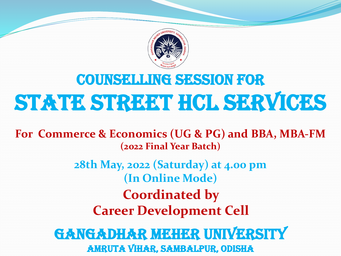

# Counselling session for state street HCL services

**For Commerce & Economics (UG & PG) and BBA, MBA-FM (2022 Final Year Batch)**

> **28th May, 2022 (Saturday) at 4.00 pm (In Online Mode) Coordinated by Career Development Cell**

GANGADHAR MEHER UNIVERSITY Amruta Vihar, Sambalpur, Odisha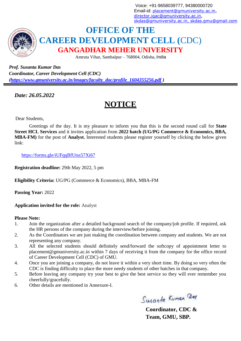Voice: +91-9658039777, 94380000720 Email-id: [placement@gmuniversity.ac.in,](mailto:placement@gmuniversity.ac.in) [director.iqac@gmuniversity.ac.in,](mailto:director.iqac@gmuniversity.ac.in) [skdas@gmuniversity.ac.in](mailto:skdas@gmuniversity.ac.in)[, skdas.gmu@gmail.com](mailto:%2Cskdas.gmu@gmail.com)



# **OFFICE OF THE CAREER DEVELOPMENT CELL (**CDC) **GANGADHAR MEHER UNIVERSITY**

Amruta Vihar, Sambalpur – 768004, Odisha, India

*Prof. Susanta Kumar Das Coordinator, Career Development Cell (CDC) [\(https://www.gmuniversity.ac.in/images/faculty\\_doc/profile\\_1604355256.pdf](https://www.gmuniversity.ac.in/images/faculty_doc/profile_1604355256.pdf) )*

*Date: 26.05.2022*

# **NOTICE**

Dear Students,

Greetings of the day. It is my pleasure to inform you that this is the second round call for **State Street HCL Services** and it invites application from **2022 batch (UG/PG Commerce & Economics, BBA, MBA-FM)** for the post of **Analyst.** Interested students please register yourself by clicking the below given link:

<https://forms.gle/iUFqqBfUtss57Xi67>

**Registration deadline:** 29th May 2022, 5 pm

**Eligibility Criteria:** UG/PG (Commerce & Economics), BBA, MBA-FM

**Passing Year:** 2022

**Application invited for the role:** Analyst

## **Please Note:**

- 1. Join the organization after a detailed background search of the company/job profile. If required, ask the HR persons of the company during the interview/before joining.
- 2. As the Coordinators we are just making the coordination between company and students. We are not representing any company.
- 3. All the selected students should definitely send/forward the softcopy of appointment letter to [placement@gmuniversity.ac.in w](mailto:placement@gmuniversity.ac.in)ithin 7 days of receiving it from the company for the office record of Career Development Cell (CDC) of GMU.
- 4. Once you are joining a company, do not leave it within a very short time. By doing so very often the CDC is finding difficulty to place the more needy students of other batches in that company.
- 5. Before leaving any company try your best to give the best service so they will ever remember you cheerfully/gracefully.
- 6. Other details are mentioned in Annexure-I.

Susanta Kuman Dag

**Coordinator, CDC & Team, GMU, SBP.**